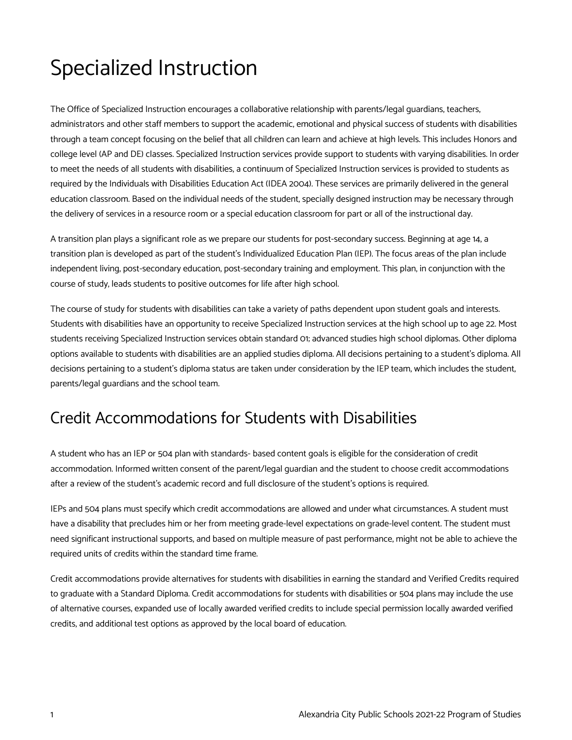## Specialized Instruction

The Office of Specialized Instruction encourages a collaborative relationship with parents/legal guardians, teachers, administrators and other staff members to support the academic, emotional and physical success of students with disabilities through a team concept focusing on the belief that all children can learn and achieve at high levels. This includes Honors and college level (AP and DE) classes. Specialized Instruction services provide support to students with varying disabilities. In order to meet the needs of all students with disabilities, a continuum of Specialized Instruction services is provided to students as required by the Individuals with Disabilities Education Act (IDEA 2004). These services are primarily delivered in the general education classroom. Based on the individual needs of the student, specially designed instruction may be necessary through the delivery of services in a resource room or a special education classroom for part or all of the instructional day.

A transition plan plays a significant role as we prepare our students for post-secondary success. Beginning at age 14, a transition plan is developed as part of the student's Individualized Education Plan (IEP). The focus areas of the plan include independent living, post-secondary education, post-secondary training and employment. This plan, in conjunction with the course of study, leads students to positive outcomes for life after high school.

The course of study for students with disabilities can take a variety of paths dependent upon student goals and interests. Students with disabilities have an opportunity to receive Specialized Instruction services at the high school up to age 22. Most students receiving Specialized Instruction services obtain standard 01; advanced studies high school diplomas. Other diploma options available to students with disabilities are an applied studies diploma. All decisions pertaining to a student's diploma. All decisions pertaining to a student's diploma status are taken under consideration by the IEP team, which includes the student, parents/legal guardians and the school team.

## Credit Accommodations for Students with Disabilities

A student who has an IEP or 504 plan with standards- based content goals is eligible for the consideration of credit accommodation. Informed written consent of the parent/legal guardian and the student to choose credit accommodations after a review of the student's academic record and full disclosure of the student's options is required.

IEPs and 504 plans must specify which credit accommodations are allowed and under what circumstances. A student must have a disability that precludes him or her from meeting grade-level expectations on grade-level content. The student must need significant instructional supports, and based on multiple measure of past performance, might not be able to achieve the required units of credits within the standard time frame.

Credit accommodations provide alternatives for students with disabilities in earning the standard and Verified Credits required to graduate with a Standard Diploma. Credit accommodations for students with disabilities or 504 plans may include the use of alternative courses, expanded use of locally awarded verified credits to include special permission locally awarded verified credits, and additional test options as approved by the local board of education.